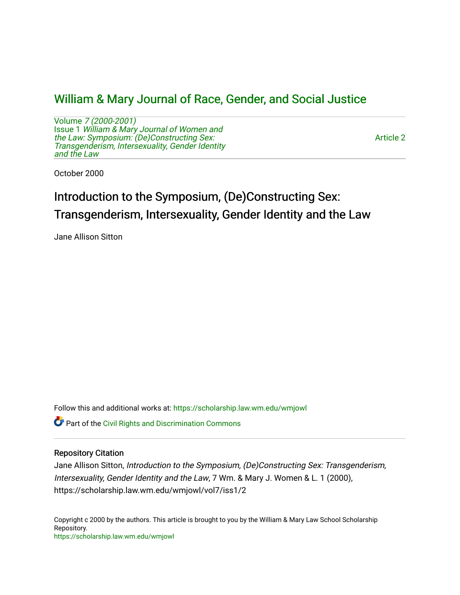# [William & Mary Journal of Race, Gender, and Social Justice](https://scholarship.law.wm.edu/wmjowl)

Volume [7 \(2000-2001\)](https://scholarship.law.wm.edu/wmjowl/vol7)  Issue 1 [William & Mary Journal of Women and](https://scholarship.law.wm.edu/wmjowl/vol7/iss1) [the Law: Symposium: \(De\)Constructing Sex:](https://scholarship.law.wm.edu/wmjowl/vol7/iss1)  [Transgenderism, Intersexuality, Gender Identity](https://scholarship.law.wm.edu/wmjowl/vol7/iss1)  [and the Law](https://scholarship.law.wm.edu/wmjowl/vol7/iss1)

[Article 2](https://scholarship.law.wm.edu/wmjowl/vol7/iss1/2) 

October 2000

# Introduction to the Symposium, (De)Constructing Sex: Transgenderism, Intersexuality, Gender Identity and the Law

Jane Allison Sitton

Follow this and additional works at: [https://scholarship.law.wm.edu/wmjowl](https://scholarship.law.wm.edu/wmjowl?utm_source=scholarship.law.wm.edu%2Fwmjowl%2Fvol7%2Fiss1%2F2&utm_medium=PDF&utm_campaign=PDFCoverPages) 

Part of the [Civil Rights and Discrimination Commons](http://network.bepress.com/hgg/discipline/585?utm_source=scholarship.law.wm.edu%2Fwmjowl%2Fvol7%2Fiss1%2F2&utm_medium=PDF&utm_campaign=PDFCoverPages) 

## Repository Citation

Jane Allison Sitton, Introduction to the Symposium, (De)Constructing Sex: Transgenderism, Intersexuality, Gender Identity and the Law, 7 Wm. & Mary J. Women & L. 1 (2000), https://scholarship.law.wm.edu/wmjowl/vol7/iss1/2

Copyright c 2000 by the authors. This article is brought to you by the William & Mary Law School Scholarship Repository. <https://scholarship.law.wm.edu/wmjowl>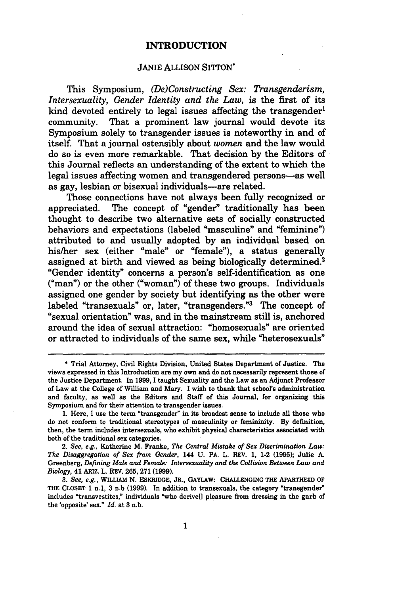#### **INTRODUCTION**

### JANIE ALLISON SITTON\*

This Symposium, (De) *Constructing Sex: Transgenderism, Intersexuality, Gender Identity and the Law,* is the first of its kind devoted entirely to legal issues affecting the transgender<sup>1</sup> community. That a prominent law journal would devote its Symposium solely to transgender issues is noteworthy in and of itself. That a journal ostensibly about *women* and the law would do so is even more remarkable. That decision by the Editors of this Journal reflects an understanding of the extent to which the legal issues affecting women and transgendered persons-as well as gay, lesbian or bisexual individuals-are related.

Those connections have not always been fully recognized or appreciated. The concept of "gender" traditionally has been thought to describe two alternative sets of socially constructed behaviors and expectations (labeled "masculine" and "feminine") attributed to and usually adopted by an individual based on his/her sex (either "male" or "female"), a status generally assigned at birth and viewed as being biologically determined.<sup>2</sup> "Gender identity" concerns a person's self-identification as one ("man") or the other ("woman") of these two groups. Individuals assigned one gender by society but identifying as the other were labeled "transexuals" or, later, "transgenders."3 The concept of "sexual orientation" was, and in the mainstream still is, anchored around the idea of sexual attraction: "homosexuals" are oriented or attracted to individuals of the same sex, while "heterosexuals"

**<sup>\*</sup>** Trial Attorney, Civil Rights Division, United States Department of Justice. The views expressed in this Introduction are my own and do not necessarily represent those of the Justice Department. In **1999, I** taught Sexuality and the Law as an Adjunct Professor of Law at the College of William and Mary. **I** wish to thank that school's administration and faculty, as well as the Editors and Staff of this Journal, for organizing this Symposium and for their attention to transgender issues.

<sup>1.</sup> Here, I use the term "transgender" in its broadest sense to include all those who do not conform to traditional stereotypes of masculinity or femininity. By definition, then, the term includes intersexuals, who exhibit physical characteristics associated with both of the traditional sex categories.

<sup>2.</sup> *See, e.g.,* Katherine M. Franke, *The Central Mistake of Sex Discrimination Law: The Disaggregation of Sex from Gender,* **144** U. PA. L. REV. 1, 1-2 **(1995);** Julie A. Greenberg, *Defining Male and Female: Intersexuality and the Collision Between Law and Biology,* **41** ARIZ. L. REV. **265, 271 (1999).**

*<sup>3.</sup> See, e.g.,* WILLIAM N. ESKRIDGE, JR., GAYLAW: **CHALLENGING THE** APARTHEID **OF THE CLOSET 1** n.1, 3 n.b **(1999).** In addition to transexuals, the category "transgender" includes "transvestites," individuals "who derive[] pleasure from dressing in the garb of the 'opposite' sex." *Id.* at **3** n.b.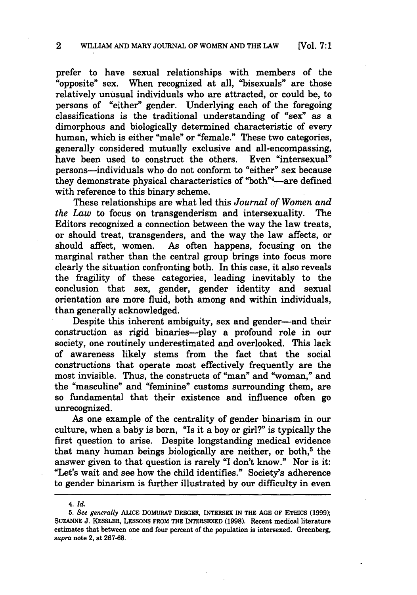prefer to have sexual relationships with members of the "opposite" sex. When recognized at all, "bisexuals" are those relatively unusual individuals who are attracted, or could be, to persons of "either" gender. Underlying each of the foregoing classifications is the traditional understanding of "sex" as a dimorphous and biologically determined characteristic of every human, which is either "male" or "female." These two categories, generally considered mutually exclusive and all-encompassing,<br>have been used to construct the others. Even "intersexual" have been used to construct the others. persons-individuals who do not conform to "either" sex because they demonstrate physical characteristics of "both"<sup>4</sup>-are defined with reference to this binary scheme.

These relationships are what led this *Journal of Women and the Law* to focus on transgenderism and intersexuality. The Editors recognized a connection between the way the law treats, or should treat, transgenders, and the way the law affects, or should affect, women. As often happens, focusing on the marginal rather than the central group brings into focus more clearly the situation confronting both. In this case, it also reveals the fragility of these categories, leading inevitably to the conclusion that sex, gender, gender identity and sexual orientation are more fluid, both among and within individuals, than generally acknowledged.

Despite this inherent ambiguity, sex and gender-and their construction as rigid binaries-play a profound role in our society, one routinely underestimated and overlooked. This lack of awareness likely stems from the fact that the social constructions that operate most effectively frequently are the most invisible. Thus, the constructs of "man" and "woman," and the "masculine" and "feminine" customs surrounding them, are so fundamental that their existence and influence often go unrecognized.

As one example of the centrality of gender binarism in our culture, when a baby is born, "Is it a boy or girl?" is typically the first question to arise. Despite longstanding medical evidence that many human beings biologically are neither, or both, $<sup>5</sup>$  the</sup> answer given to that question is rarely **"I** don't know." Nor is it: "Let's wait and see how the child identifies." Society's adherence to gender binarism is further illustrated **by** our difficulty in even

*<sup>4.</sup> Id.*

*<sup>5.</sup> See generally* **ALICE DOMURAT** DREGER, INTERSEX **IN** THE **AGE** OF **ETHICS (1999); SUZANNE J.** KESSLER, **LESSONS** FROM THE **INTERSEXED (1998).** Recent medical literature estimates that between one and four percent of the population is intersexed. Greenberg, *supra* note 2, at **267-68.**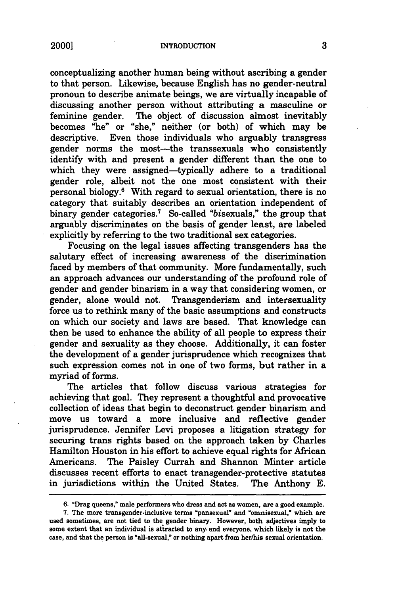20001

conceptualizing another human being without ascribing a gender to that person. Likewise, because English has no gender-neutral pronoun to describe animate beings, we are virtually incapable of discussing another person without attributing a masculine or feminine gender. The object of discussion almost inevitably The object of discussion almost inevitably becomes "he" or "she," neither (or both) of which may be descriptive. Even those individuals who arguably transgress gender norms the most-the transsexuals who consistently identify with and present a gender different than the one to which they were assigned-typically adhere to a traditional gender role, albeit not the one most consistent with their personal biology.6 With regard to sexual orientation, there is no category that suitably describes an orientation independent of binary gender categories.<sup>7</sup> So-called "bisexuals," the group that arguably discriminates on the basis of gender least, are labeled explicitly **by** referring to the two traditional sex categories.

Focusing on the legal issues affecting transgenders has the salutary effect of increasing awareness of the discrimination faced **by** members of that community. More fundamentally, such an approach advances our understanding of the profound role of gender and gender binarism in a way that considering women, or gender, alone would not. Transgenderism and intersexuality force us to rethink many of the basic assumptions and constructs on which our society and laws are based. That knowledge can then be used to enhance the ability of all people to express their gender and sexuality as they choose. Additionally, it can foster the development of a gender jurisprudence which recognizes that such expression comes not in one of two forms, but rather in a myriad of forms.

The articles that follow discuss various strategies for achieving that goal. They represent a thoughtful and provocative collection of ideas that begin to deconstruct gender binarism and move us toward a more inclusive and reflective gender jurisprudence. Jennifer Levi proposes a litigation strategy for securing trans rights based on the approach taken by Charles Hamilton Houston in his effort to achieve equal rights for African Americans. The Paisley Currah and Shannon Minter article discusses recent efforts to enact transgender-protective statutes in jurisdictions within the United States. The Anthony E.

<sup>6. &</sup>quot;Drag queens," male performers who dress and act as women, are a good-example.

**<sup>7.</sup>** The more transgender-inclusive terms "pansexual" and "omnisexual," which are used sometimes, are not tied to the gender binary. However, both adjectives **imply** to some extent that an individual is attracted to any. and everyone, which likely is not the case, and that the person is "all-sexual," or nothing apart from her/his sexual orientation.